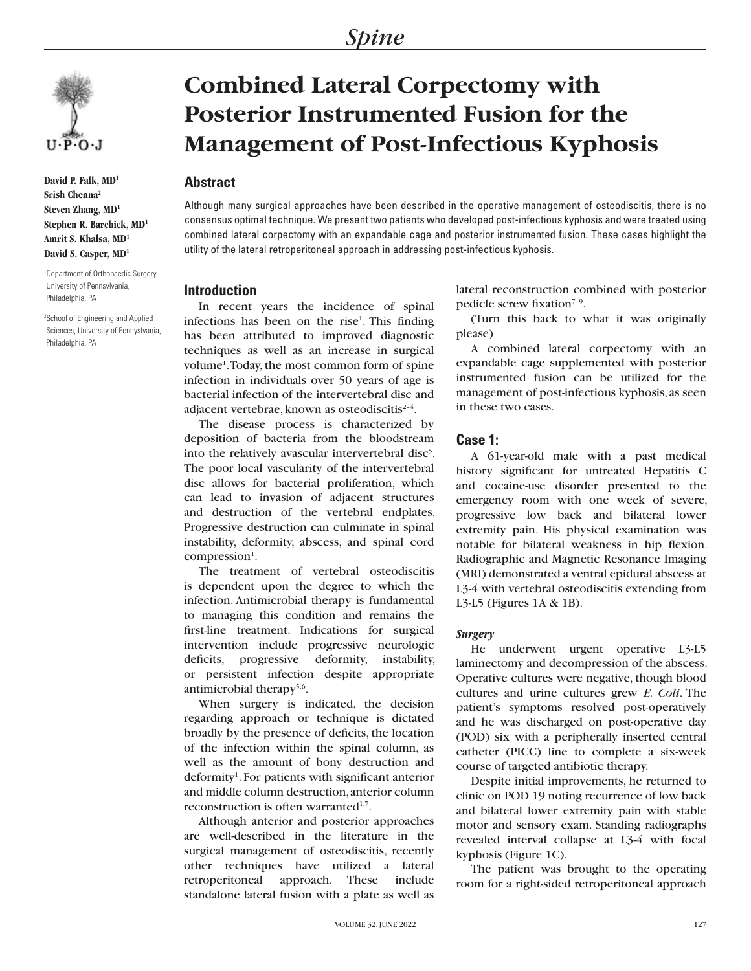

**David P. Falk, MD1 Srish Chenna2 Steven Zhang, MD1 Stephen R. Barchick, MD1 Amrit S. Khalsa, MD1 David S. Casper, MD1**

1 Department of Orthopaedic Surgery, University of Pennsylvania, Philadelphia, PA

2 School of Engineering and Applied Sciences, University of Pennyslvania, Philadelphia, PA

# **Combined Lateral Corpectomy with Posterior Instrumented Fusion for the Management of Post-Infectious Kyphosis**

## **Abstract**

Although many surgical approaches have been described in the operative management of osteodiscitis, there is no consensus optimal technique. We present two patients who developed post-infectious kyphosis and were treated using combined lateral corpectomy with an expandable cage and posterior instrumented fusion. These cases highlight the utility of the lateral retroperitoneal approach in addressing post-infectious kyphosis.

## **Introduction**

In recent years the incidence of spinal infections has been on the rise $<sup>1</sup>$ . This finding</sup> has been attributed to improved diagnostic techniques as well as an increase in surgical volume<sup>1</sup>. Today, the most common form of spine infection in individuals over 50 years of age is bacterial infection of the intervertebral disc and adjacent vertebrae, known as osteodiscitis $2-4$ .

The disease process is characterized by deposition of bacteria from the bloodstream into the relatively avascular intervertebral disc<sup>5</sup>. The poor local vascularity of the intervertebral disc allows for bacterial proliferation, which can lead to invasion of adjacent structures and destruction of the vertebral endplates. Progressive destruction can culminate in spinal instability, deformity, abscess, and spinal cord compression<sup>1</sup>.

The treatment of vertebral osteodiscitis is dependent upon the degree to which the infection. Antimicrobial therapy is fundamental to managing this condition and remains the first-line treatment. Indications for surgical intervention include progressive neurologic deficits, progressive deformity, instability, or persistent infection despite appropriate antimicrobial therapy<sup>5,6</sup>.

When surgery is indicated, the decision regarding approach or technique is dictated broadly by the presence of deficits, the location of the infection within the spinal column, as well as the amount of bony destruction and deformity<sup>1</sup>. For patients with significant anterior and middle column destruction, anterior column reconstruction is often warranted $1,7$ .

Although anterior and posterior approaches are well-described in the literature in the surgical management of osteodiscitis, recently other techniques have utilized a lateral retroperitoneal approach. These include standalone lateral fusion with a plate as well as

lateral reconstruction combined with posterior pedicle screw fixation<sup>7-9</sup>.

(Turn this back to what it was originally please)

A combined lateral corpectomy with an expandable cage supplemented with posterior instrumented fusion can be utilized for the management of post-infectious kyphosis, as seen in these two cases.

### **Case 1:**

A 61-year-old male with a past medical history significant for untreated Hepatitis C and cocaine-use disorder presented to the emergency room with one week of severe, progressive low back and bilateral lower extremity pain. His physical examination was notable for bilateral weakness in hip flexion. Radiographic and Magnetic Resonance Imaging (MRI) demonstrated a ventral epidural abscess at L3-4 with vertebral osteodiscitis extending from L3-L5 (Figures 1A & 1B).

## *Surgery*

He underwent urgent operative L3-L5 laminectomy and decompression of the abscess. Operative cultures were negative, though blood cultures and urine cultures grew *E. Coli*. The patient's symptoms resolved post-operatively and he was discharged on post-operative day (POD) six with a peripherally inserted central catheter (PICC) line to complete a six-week course of targeted antibiotic therapy.

Despite initial improvements, he returned to clinic on POD 19 noting recurrence of low back and bilateral lower extremity pain with stable motor and sensory exam. Standing radiographs revealed interval collapse at L3-4 with focal kyphosis (Figure 1C).

The patient was brought to the operating room for a right-sided retroperitoneal approach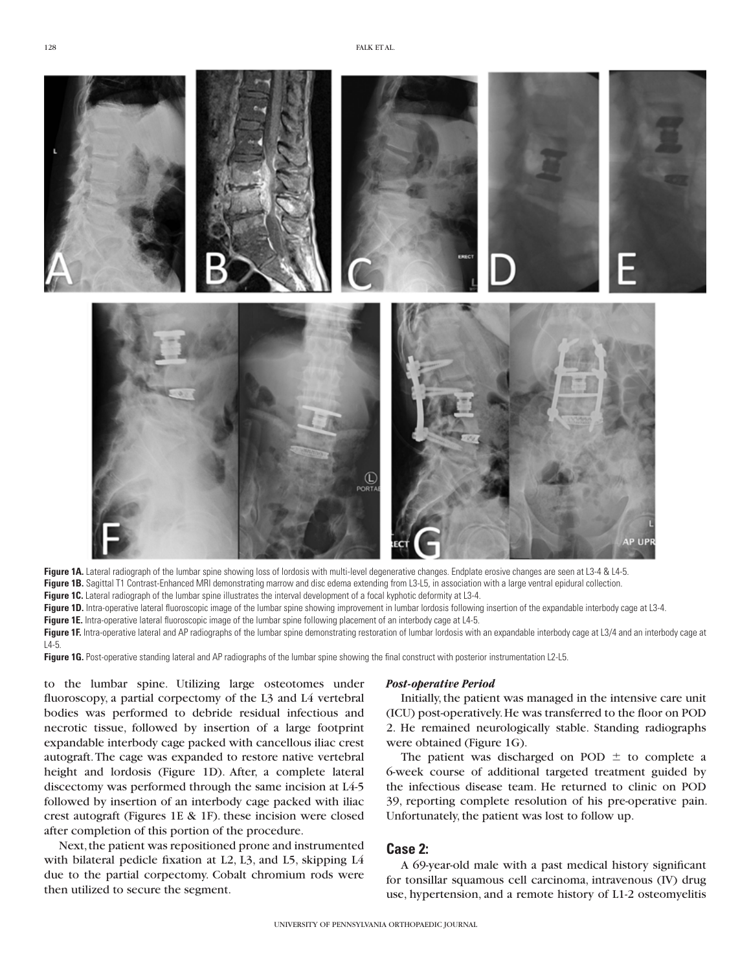

Figure 1A. Lateral radiograph of the lumbar spine showing loss of lordosis with multi-level degenerative changes. Endplate erosive changes are seen at L3-4 & L4-5. Figure 1B. Sagittal T1 Contrast-Enhanced MRI demonstrating marrow and disc edema extending from L3-L5, in association with a large ventral epidural collection. **Figure 1C.** Lateral radiograph of the lumbar spine illustrates the interval development of a focal kyphotic deformity at L3-4.

Figure 1D. Intra-operative lateral fluoroscopic image of the lumbar spine showing improvement in lumbar lordosis following insertion of the expandable interbody cage at L3-4. **Figure 1E.** Intra-operative lateral fluoroscopic image of the lumbar spine following placement of an interbody cage at L4-5.

Figure 1F. Intra-operative lateral and AP radiographs of the lumbar spine demonstrating restoration of lumbar lordosis with an expandable interbody cage at L3/4 and an interbody cage at  $14 - 5$ 

Figure 1G. Post-operative standing lateral and AP radiographs of the lumbar spine showing the final construct with posterior instrumentation L2-L5.

to the lumbar spine. Utilizing large osteotomes under fluoroscopy, a partial corpectomy of the L3 and L4 vertebral bodies was performed to debride residual infectious and necrotic tissue, followed by insertion of a large footprint expandable interbody cage packed with cancellous iliac crest autograft. The cage was expanded to restore native vertebral height and lordosis (Figure 1D). After, a complete lateral discectomy was performed through the same incision at L4-5 followed by insertion of an interbody cage packed with iliac crest autograft (Figures 1E & 1F). these incision were closed after completion of this portion of the procedure.

Next, the patient was repositioned prone and instrumented with bilateral pedicle fixation at L2, L3, and L5, skipping L4 due to the partial corpectomy. Cobalt chromium rods were then utilized to secure the segment.

#### *Post-operative Period*

Initially, the patient was managed in the intensive care unit (ICU) post-operatively. He was transferred to the floor on POD 2. He remained neurologically stable. Standing radiographs were obtained (Figure 1G).

The patient was discharged on POD  $\pm$  to complete a 6-week course of additional targeted treatment guided by the infectious disease team. He returned to clinic on POD 39, reporting complete resolution of his pre-operative pain. Unfortunately, the patient was lost to follow up.

## **Case 2:**

A 69-year-old male with a past medical history significant for tonsillar squamous cell carcinoma, intravenous (IV) drug use, hypertension, and a remote history of L1-2 osteomyelitis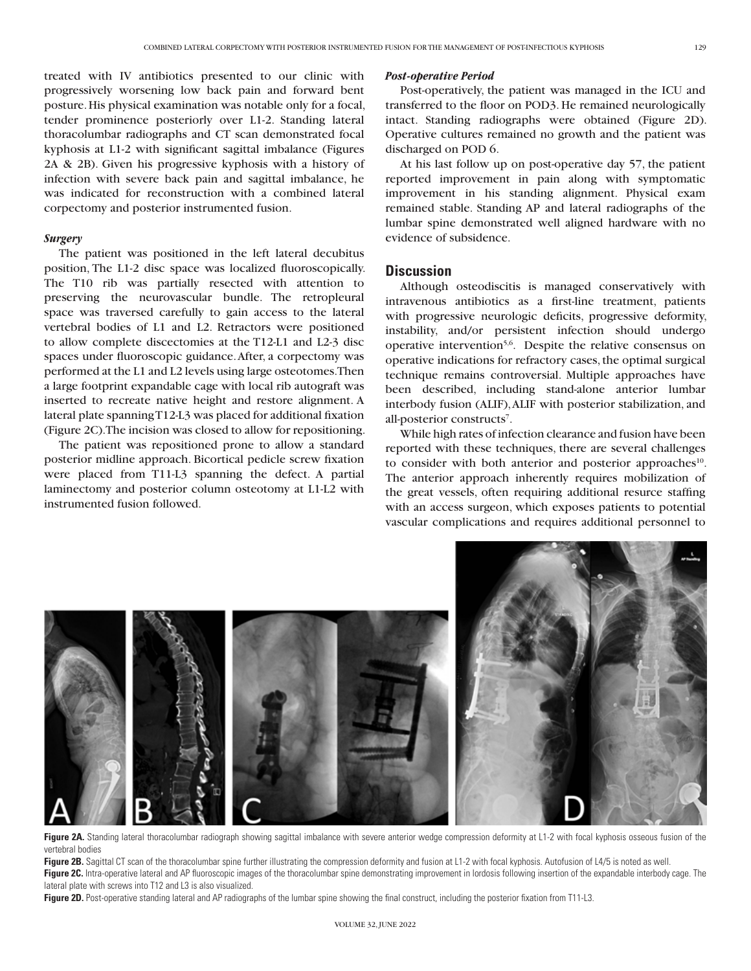treated with IV antibiotics presented to our clinic with progressively worsening low back pain and forward bent posture. His physical examination was notable only for a focal, tender prominence posteriorly over L1-2. Standing lateral thoracolumbar radiographs and CT scan demonstrated focal kyphosis at L1-2 with significant sagittal imbalance (Figures 2A & 2B). Given his progressive kyphosis with a history of infection with severe back pain and sagittal imbalance, he was indicated for reconstruction with a combined lateral corpectomy and posterior instrumented fusion.

#### *Surgery*

The patient was positioned in the left lateral decubitus position, The L1-2 disc space was localized fluoroscopically. The T10 rib was partially resected with attention to preserving the neurovascular bundle. The retropleural space was traversed carefully to gain access to the lateral vertebral bodies of L1 and L2. Retractors were positioned to allow complete discectomies at the T12-L1 and L2-3 disc spaces under fluoroscopic guidance. After, a corpectomy was performed at the L1 and L2 levels using large osteotomes. Then a large footprint expandable cage with local rib autograft was inserted to recreate native height and restore alignment. A lateral plate spanning T12-L3 was placed for additional fixation (Figure 2C). The incision was closed to allow for repositioning.

The patient was repositioned prone to allow a standard posterior midline approach. Bicortical pedicle screw fixation were placed from T11-L3 spanning the defect. A partial laminectomy and posterior column osteotomy at L1-L2 with instrumented fusion followed.

#### *Post-operative Period*

Post-operatively, the patient was managed in the ICU and transferred to the floor on POD3. He remained neurologically intact. Standing radiographs were obtained (Figure 2D). Operative cultures remained no growth and the patient was discharged on POD 6.

At his last follow up on post-operative day 57, the patient reported improvement in pain along with symptomatic improvement in his standing alignment. Physical exam remained stable. Standing AP and lateral radiographs of the lumbar spine demonstrated well aligned hardware with no evidence of subsidence.

## **Discussion**

Although osteodiscitis is managed conservatively with intravenous antibiotics as a first-line treatment, patients with progressive neurologic deficits, progressive deformity, instability, and/or persistent infection should undergo operative intervention<sup>5,6</sup>. Despite the relative consensus on operative indications for refractory cases, the optimal surgical technique remains controversial. Multiple approaches have been described, including stand-alone anterior lumbar interbody fusion (ALIF), ALIF with posterior stabilization, and all-posterior constructs<sup>7</sup>.

While high rates of infection clearance and fusion have been reported with these techniques, there are several challenges to consider with both anterior and posterior approaches<sup>10</sup>. The anterior approach inherently requires mobilization of the great vessels, often requiring additional resurce staffing with an access surgeon, which exposes patients to potential vascular complications and requires additional personnel to



Figure 2A. Standing lateral thoracolumbar radiograph showing sagittal imbalance with severe anterior wedge compression deformity at L1-2 with focal kyphosis osseous fusion of the vertebral bodies

Figure 2B. Sagittal CT scan of the thoracolumbar spine further illustrating the compression deformity and fusion at L1-2 with focal kyphosis. Autofusion of L4/5 is noted as well. **Figure 2C.** Intra-operative lateral and AP fluoroscopic images of the thoracolumbar spine demonstrating improvement in lordosis following insertion of the expandable interbody cage. The lateral plate with screws into T12 and L3 is also visualized.

**Figure 2D.** Post-operative standing lateral and AP radiographs of the lumbar spine showing the final construct, including the posterior fixation from T11-L3.